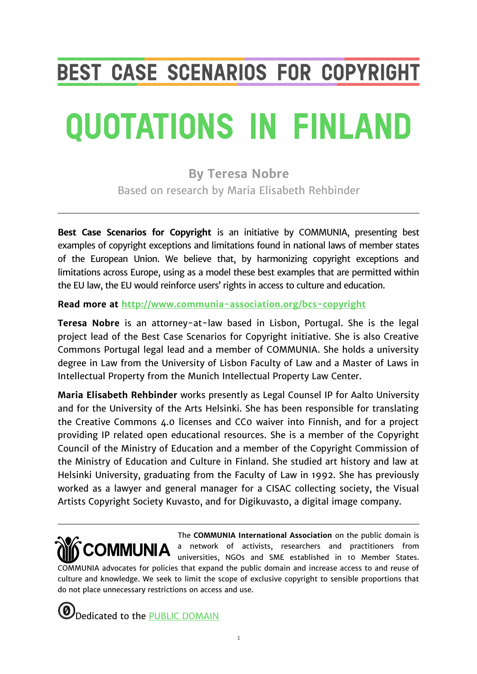# **BEST CASE SCENARIOS FOR COPYRIGHT**

# **QUOTATIONS IN FINLAND**

**By Teresa Nobre** Based on research by Maria Elisabeth Rehbinder

**Best Case Scenarios for Copyright** is an initiative by COMMUNIA, presenting best examples of copyright exceptions and limitations found in national laws of member states of the European Union. We believe that, by harmonizing copyright exceptions and limitations across Europe, using as a model these best examples that are permitted within the EU law, the EU would reinforce users' rights in access to culture and education.

**Read more at <http://www.communia-association.org/bcs-copyright>**

**Teresa Nobre** is an attorney-at-law based in Lisbon, Portugal. She is the legal project lead of the Best Case Scenarios for Copyright initiative. She is also Creative Commons Portugal legal lead and a member of COMMUNIA. She holds a university degree in Law from the University of Lisbon Faculty of Law and a Master of Laws in Intellectual Property from the Munich Intellectual Property Law Center.

**Maria Elisabeth Rehbinder** works presently as Legal Counsel IP for Aalto University and for the University of the Arts Helsinki. She has been responsible for translating the Creative Commons 4.0 licenses and CC0 waiver into Finnish, and for a project providing IP related open educational resources. She is a member of the Copyright Council of the Ministry of Education and a member of the Copyright Commission of the Ministry of Education and Culture in Finland. She studied art history and law at Helsinki University, graduating from the Faculty of Law in 1992. She has previously worked as a lawyer and general manager for a CISAC collecting society, the Visual Artists Copyright Society Kuvasto, and for Digikuvasto, a digital image company.

The **COMMUNIA International Association** on the public domain is a network of activists, researchers and practitioners from COMMUNIA universities, NGOs and SME established in 10 Member States. COMMUNIA advocates for policies that expand the public domain and increase access to and reuse of culture and knowledge. We seek to limit the scope of exclusive copyright to sensible proportions that do not place unnecessary restrictions on access and use.

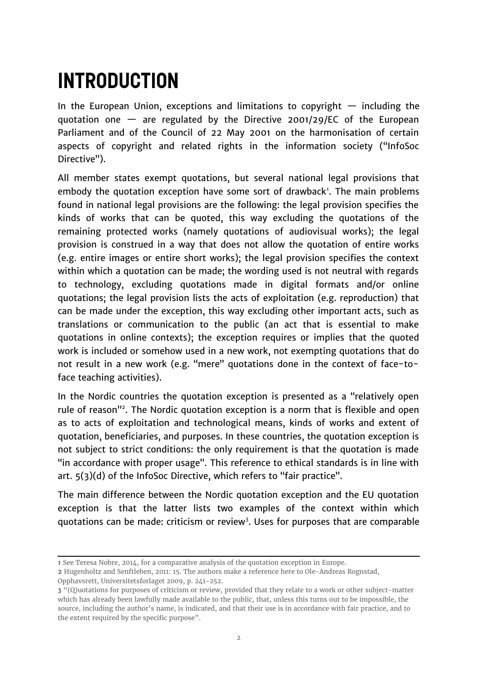# **INTRODUCTION**

In the European Union, exceptions and limitations to copyright  $-$  including the quotation one  $-$  are regulated by the Directive 2001/29/EC of the European Parliament and of the Council of 22 May 2001 on the harmonisation of certain aspects of copyright and related rights in the information society ("InfoSoc Directive").

All member states exempt quotations, but several national legal provisions that embody the quotation exception have some sort of drawback<sup>[1](#page-1-0)</sup>. The main problems found in national legal provisions are the following: the legal provision specifies the kinds of works that can be quoted, this way excluding the quotations of the remaining protected works (namely quotations of audiovisual works); the legal provision is construed in a way that does not allow the quotation of entire works (e.g. entire images or entire short works); the legal provision specifies the context within which a quotation can be made; the wording used is not neutral with regards to technology, excluding quotations made in digital formats and/or online quotations; the legal provision lists the acts of exploitation (e.g. reproduction) that can be made under the exception, this way excluding other important acts, such as translations or communication to the public (an act that is essential to make quotations in online contexts); the exception requires or implies that the quoted work is included or somehow used in a new work, not exempting quotations that do not result in a new work (e.g. "mere" quotations done in the context of face-toface teaching activities).

In the Nordic countries the quotation exception is presented as a "relatively open rule of reason"[2](#page-1-1) . The Nordic quotation exception is a norm that is flexible and open as to acts of exploitation and technological means, kinds of works and extent of quotation, beneficiaries, and purposes. In these countries, the quotation exception is not subject to strict conditions: the only requirement is that the quotation is made "in accordance with proper usage". This reference to ethical standards is in line with art. 5(3)(d) of the InfoSoc Directive, which refers to "fair practice".

The main difference between the Nordic quotation exception and the EU quotation exception is that the latter lists two examples of the context within which quotations can be made: criticism or review<sup>[3](#page-1-2)</sup>. Uses for purposes that are comparable

<span id="page-1-0"></span>**<sup>1</sup>** See Teresa Nobre, 2014, for a comparative analysis of the quotation exception in Europe.

<span id="page-1-1"></span>**<sup>2</sup>** Hugenholtz and Senftleben, 2011: 15. The authors make a reference here to Ole-Andreas Rognstad, Opphavsrett, Universitetsforlaget 2009, p. 241-252.

<span id="page-1-2"></span>**<sup>3</sup>** "(Q)uotations for purposes of criticism or review, provided that they relate to a work or other subject-matter which has already been lawfully made available to the public, that, unless this turns out to be impossible, the source, including the author's name, is indicated, and that their use is in accordance with fair practice, and to the extent required by the specific purpose".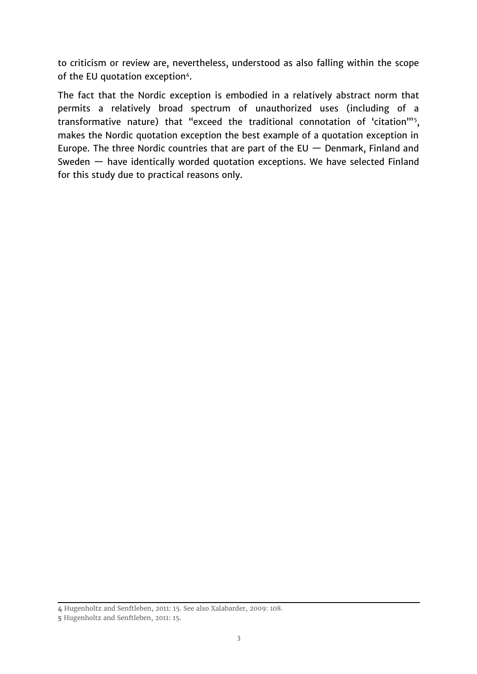to criticism or review are, nevertheless, understood as also falling within the scope of the EU quotation exception<sup>[4](#page-2-0)</sup>.

The fact that the Nordic exception is embodied in a relatively abstract norm that permits a relatively broad spectrum of unauthorized uses (including of a transformative nature) that "exceed the traditional connotation of 'citation'"<sup>[5](#page-2-1)</sup>, makes the Nordic quotation exception the best example of a quotation exception in Europe. The three Nordic countries that are part of the EU  $-$  Denmark, Finland and Sweden — have identically worded quotation exceptions. We have selected Finland for this study due to practical reasons only.

<span id="page-2-0"></span>**<sup>4</sup>** Hugenholtz and Senftleben, 2011: 15. See also Xalabarder, 2009: 108.

<span id="page-2-1"></span>**<sup>5</sup>** Hugenholtz and Senftleben, 2011: 15.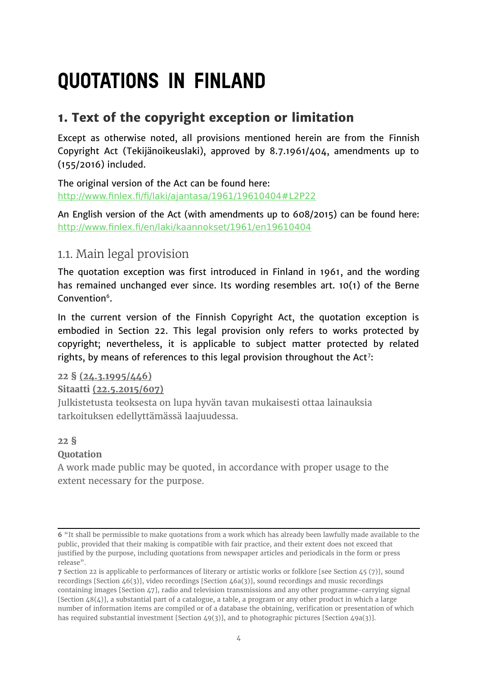# **QUOTATIONS IN FINLAND**

## **1. Text of the copyright exception or limitation**

Except as otherwise noted, all provisions mentioned herein are from the Finnish Copyright Act (Tekijänoikeuslaki), approved by 8.7.1961/404, amendments up to (155/2016) included.

The original version of the Act can be found here: <http://www.finlex.fi/fi/laki/ajantasa/1961/19610404#L2P22>

An English version of the Act (with amendments up to 608/2015) can be found here: <http://www.finlex.fi/en/laki/kaannokset/1961/en19610404>

### 1.1. Main legal provision

The quotation exception was first introduced in Finland in 1961, and the wording has remained unchanged ever since. Its wording resembles art. 10(1) of the Berne Convention $^6$  $^6$ .

In the current version of the Finnish Copyright Act, the quotation exception is embodied in Section 22. This legal provision only refers to works protected by copyright; nevertheless, it is applicable to subject matter protected by related rights, by means of references to this legal provision throughout the Act<sup>[7](#page-3-1)</sup>:

#### **22 § [\(24.3.1995/446\)](http://www.finlex.fi/fi/laki/ajantasa/1961/19610404#a24.3.1995-446)**

#### **Sitaatti [\(22.5.2015/607\)](http://www.finlex.fi/fi/laki/ajantasa/1961/19610404#a22.5.2015-607)**

Julkistetusta teoksesta on lupa hyvän tavan mukaisesti ottaa lainauksia tarkoituksen edellyttämässä laajuudessa.

#### **22 § Quotation**

A work made public may be quoted, in accordance with proper usage to the extent necessary for the purpose.

<span id="page-3-0"></span>**<sup>6</sup>** "It shall be permissible to make quotations from a work which has already been lawfully made available to the public, provided that their making is compatible with fair practice, and their extent does not exceed that justified by the purpose, including quotations from newspaper articles and periodicals in the form or press release".

<span id="page-3-1"></span>**<sup>7</sup>** Section 22 is applicable to performances of literary or artistic works or folklore [see Section 45 (7)], sound recordings [Section 46(3)], video recordings [Section 46a(3)], sound recordings and music recordings containing images [Section 47], radio and television transmissions and any other programme-carrying signal [Section 48(4)], a substantial part of a catalogue, a table, a program or any other product in which a large number of information items are compiled or of a database the obtaining, verification or presentation of which has required substantial investment [Section 49(3)], and to photographic pictures [Section 49a(3)].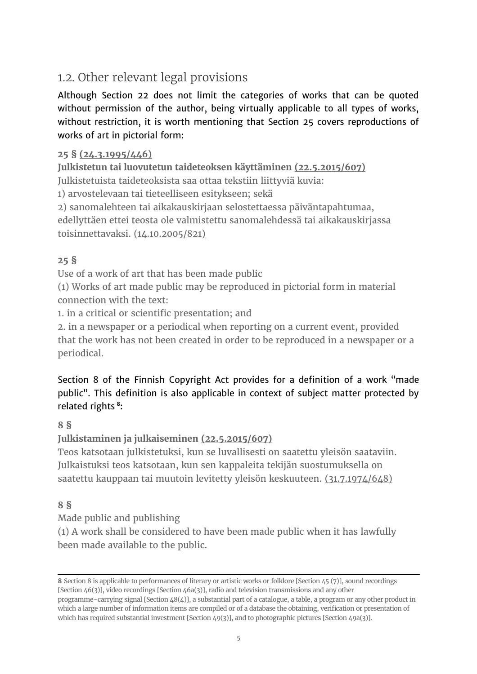# 1.2. Other relevant legal provisions

Although Section 22 does not limit the categories of works that can be quoted without permission of the author, being virtually applicable to all types of works, without restriction, it is worth mentioning that Section 25 covers reproductions of works of art in pictorial form:

#### **25 § [\(24.3.1995/446\)](http://www.finlex.fi/fi/laki/ajantasa/1961/19610404#a24.3.1995-446)**

**Julkistetun tai luovutetun taideteoksen käyttäminen [\(22.5.2015/607\)](http://www.finlex.fi/fi/laki/ajantasa/1961/19610404#a22.5.2015-607)**

Julkistetuista taideteoksista saa ottaa tekstiin liittyviä kuvia:

1) arvostelevaan tai tieteelliseen esitykseen; sekä

2) sanomalehteen tai aikakauskirjaan selostettaessa päiväntapahtumaa,

edellyttäen ettei teosta ole valmistettu sanomalehdessä tai aikakauskirjassa toisinnettavaksi. [\(14.10.2005/821\)](http://www.finlex.fi/fi/laki/ajantasa/1961/19610404#a14.10.2005-821)

#### **25 §**

Use of a work of art that has been made public

(1) Works of art made public may be reproduced in pictorial form in material connection with the text:

1. in a critical or scientific presentation; and

2. in a newspaper or a periodical when reporting on a current event, provided that the work has not been created in order to be reproduced in a newspaper or a periodical.

#### Section 8 of the Finnish Copyright Act provides for a definition of a work "made public". This definition is also applicable in context of subject matter protected by related rights **[8](#page-4-0)** :

#### **8 §**

**Julkistaminen ja julkaiseminen [\(22.5.2015/607\)](http://www.finlex.fi/fi/laki/ajantasa/1961/19610404#a22.5.2015-607)**

Teos katsotaan julkistetuksi, kun se luvallisesti on saatettu yleisön saataviin. Julkaistuksi teos katsotaan, kun sen kappaleita tekijän suostumuksella on saatettu kauppaan tai muutoin levitetty yleisön keskuuteen. [\(31.7.1974/648\)](http://www.finlex.fi/fi/laki/ajantasa/1961/19610404#a31.7.1974-648)

#### **8 §**

Made public and publishing

(1) A work shall be considered to have been made public when it has lawfully been made available to the public.

<span id="page-4-0"></span>**<sup>8</sup>** Section 8 is applicable to performances of literary or artistic works or folklore [Section 45 (7)], sound recordings [Section 46(3)], video recordings [Section 46a(3)], radio and television transmissions and any other programme-carrying signal [Section 48(4)], a substantial part of a catalogue, a table, a program or any other product in

which a large number of information items are compiled or of a database the obtaining, verification or presentation of which has required substantial investment [Section 49(3)], and to photographic pictures [Section 49a(3)].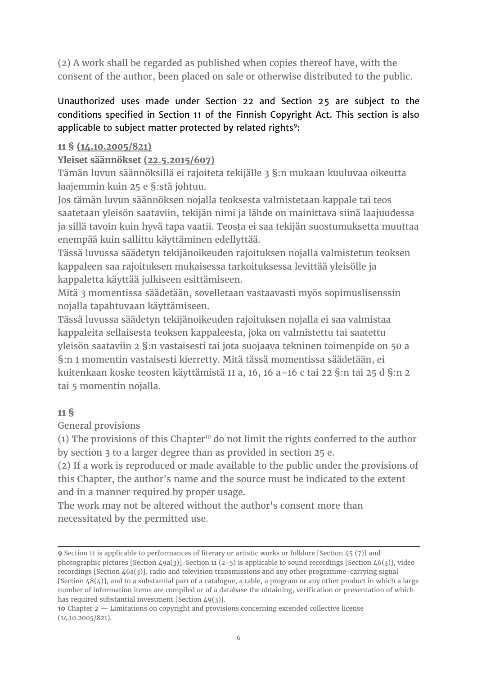(2) A work shall be regarded as published when copies thereof have, with the consent of the author, been placed on sale or otherwise distributed to the public.

#### Unauthorized uses made under Section 22 and Section 25 are subject to the conditions specified in Section 11 of the Finnish Copyright Act. This section is also applicable to subject matter protected by related rights<sup>[9](#page-5-0)</sup>:

#### **11 § [\(14.10.2005/821\)](http://www.finlex.fi/fi/laki/ajantasa/1961/19610404#a14.10.2005-821)**

**Yleiset säännökset [\(22.5.2015/607\)](http://www.finlex.fi/fi/laki/ajantasa/1961/19610404#a22.5.2015-607)**

Tämän luvun säännöksillä ei rajoiteta tekijälle 3 §:n mukaan kuuluvaa oikeutta laajemmin kuin 25 e §:stä johtuu.

Jos tämän luvun säännöksen nojalla teoksesta valmistetaan kappale tai teos saatetaan yleisön saataviin, tekijän nimi ja lähde on mainittava siinä laajuudessa ja sillä tavoin kuin hyvä tapa vaatii. Teosta ei saa tekijän suostumuksetta muuttaa enempää kuin sallittu käyttäminen edellyttää.

Tässä luvussa säädetyn tekijänoikeuden rajoituksen nojalla valmistetun teoksen kappaleen saa rajoituksen mukaisessa tarkoituksessa levittää yleisölle ja kappaletta käyttää julkiseen esittämiseen.

Mitä 3 momentissa säädetään, sovelletaan vastaavasti myös sopimuslisenssin nojalla tapahtuvaan käyttämiseen.

Tässä luvussa säädetyn tekijänoikeuden rajoituksen nojalla ei saa valmistaa kappaleita sellaisesta teoksen kappaleesta, joka on valmistettu tai saatettu yleisön saataviin 2 §:n vastaisesti tai jota suojaava tekninen toimenpide on 50 a §:n 1 momentin vastaisesti kierretty. Mitä tässä momentissa säädetään, ei kuitenkaan koske teosten käyttämistä 11 a, 16, 16 a–16 c tai 22 §:n tai 25 d §:n 2 tai 5 momentin nojalla.

#### **11 §**

General provisions

(1) The provisions of this Chapter<sup>[10](#page-5-1)</sup> do not limit the rights conferred to the author by section 3 to a larger degree than as provided in section 25 e.

(2) If a work is reproduced or made available to the public under the provisions of this Chapter, the author's name and the source must be indicated to the extent and in a manner required by proper usage.

The work may not be altered without the author's consent more than necessitated by the permitted use.

<span id="page-5-0"></span>**<sup>9</sup>** Section 11 is applicable to performances of literary or artistic works or folklore [Section 45 (7)] and photographic pictures [Section 49a(3)]. Section 11 (2-5) is applicable to sound recordings [Section 46(3)], video recordings [Section 46a(3)], radio and television transmissions and any other programme-carrying signal [Section 48(4)], and to a substantial part of a catalogue, a table, a program or any other product in which a large number of information items are compiled or of a database the obtaining, verification or presentation of which has required substantial investment [Section 49(3)].

<span id="page-5-1"></span>**<sup>10</sup>** Chapter 2 — Limitations on copyright and provisions concerning extended collective license (14.10.2005/821).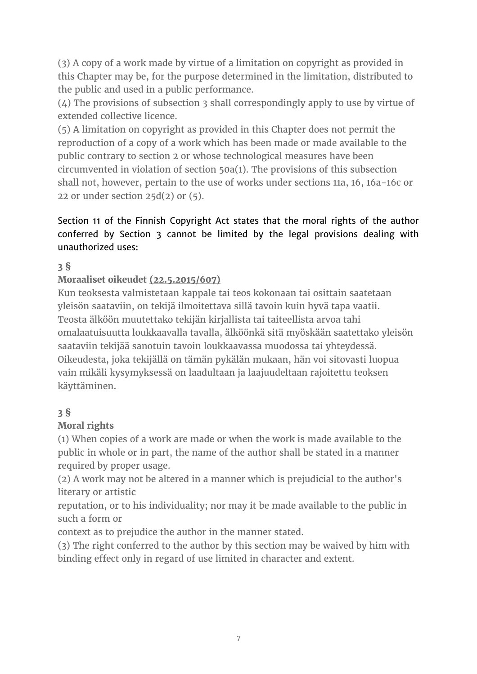(3) A copy of a work made by virtue of a limitation on copyright as provided in this Chapter may be, for the purpose determined in the limitation, distributed to the public and used in a public performance.

(4) The provisions of subsection 3 shall correspondingly apply to use by virtue of extended collective licence.

(5) A limitation on copyright as provided in this Chapter does not permit the reproduction of a copy of a work which has been made or made available to the public contrary to section 2 or whose technological measures have been circumvented in violation of section 50a(1). The provisions of this subsection shall not, however, pertain to the use of works under sections 11a, 16, 16a−16c or 22 or under section  $25d(2)$  or  $(5)$ .

#### Section 11 of the Finnish Copyright Act states that the moral rights of the author conferred by Section 3 cannot be limited by the legal provisions dealing with unauthorized uses:

#### **[3 §](http://www.finlex.fi/fi/laki/ajantasa/1961/19610404#a404-1961)**

#### **Moraaliset oikeudet [\(22.5.2015/607\)](http://www.finlex.fi/fi/laki/ajantasa/1961/19610404#a22.5.2015-607)**

Kun teoksesta valmistetaan kappale tai teos kokonaan tai osittain saatetaan yleisön saataviin, on tekijä ilmoitettava sillä tavoin kuin hyvä tapa vaatii. Teosta älköön muutettako tekijän kirjallista tai taiteellista arvoa tahi omalaatuisuutta loukkaavalla tavalla, älköönkä sitä myöskään saatettako yleisön saataviin tekijää sanotuin tavoin loukkaavassa muodossa tai yhteydessä. Oikeudesta, joka tekijällä on tämän pykälän mukaan, hän voi sitovasti luopua vain mikäli kysymyksessä on laadultaan ja laajuudeltaan rajoitettu teoksen käyttäminen.

#### **3 §**

#### **Moral rights**

(1) When copies of a work are made or when the work is made available to the public in whole or in part, the name of the author shall be stated in a manner required by proper usage.

(2) A work may not be altered in a manner which is prejudicial to the author's literary or artistic

reputation, or to his individuality; nor may it be made available to the public in such a form or

context as to prejudice the author in the manner stated.

(3) The right conferred to the author by this section may be waived by him with binding effect only in regard of use limited in character and extent.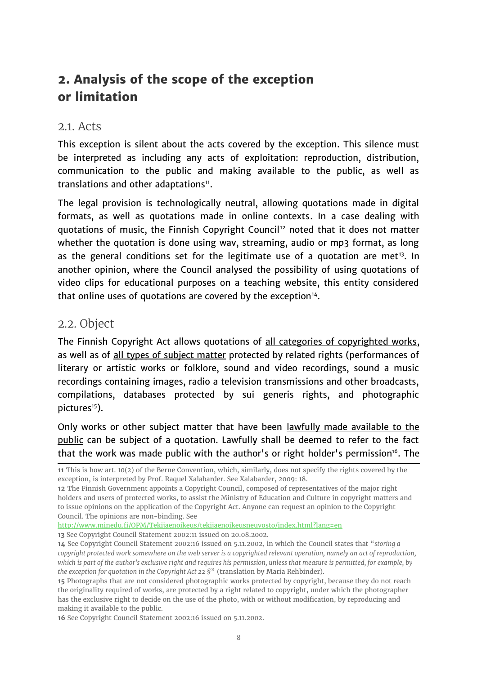# **2. Analysis of the scope of the exception or limitation**

#### 2.1. Acts

This exception is silent about the acts covered by the exception. This silence must be interpreted as including any acts of exploitation: reproduction, distribution, communication to the public and making available to the public, as well as translations and other adaptations<sup>[11](#page-7-0)</sup>.

The legal provision is technologically neutral, allowing quotations made in digital formats, as well as quotations made in online contexts. In a case dealing with quotations of music, the Finnish Copyright Council<sup>[12](#page-7-1)</sup> noted that it does not matter whether the quotation is done using way, streaming, audio or mp3 format, as long as the general conditions set for the legitimate use of a quotation are met<sup>[13](#page-7-2)</sup>. In another opinion, where the Council analysed the possibility of using quotations of video clips for educational purposes on a teaching website, this entity considered that online uses of quotations are covered by the exception $14$ .

#### 2.2. Object

The Finnish Copyright Act allows quotations of all categories of copyrighted works, as well as of all types of subject matter protected by related rights (performances of literary or artistic works or folklore, sound and video recordings, sound a music recordings containing images, radio a television transmissions and other broadcasts, compilations, databases protected by sui generis rights, and photographic  $pictures<sup>15</sup>$  $pictures<sup>15</sup>$  $pictures<sup>15</sup>$ ).

Only works or other subject matter that have been lawfully made available to the public can be subject of a quotation. Lawfully shall be deemed to refer to the fact that the work was made public with the author's or right holder's permission<sup>[16](#page-7-5)</sup>. The

<http://www.minedu.fi/OPM/Tekijaenoikeus/tekijaenoikeusneuvosto/index.html?lang=en>

<span id="page-7-2"></span>**13** See Copyright Council Statement 2002:11 issued on 20.08.2002.

<span id="page-7-5"></span>**16** See Copyright Council Statement 2002:16 issued on 5.11.2002.

<span id="page-7-0"></span>**<sup>11</sup>** This is how art. 10(2) of the Berne Convention, which, similarly, does not specify the rights covered by the exception, is interpreted by Prof. Raquel Xalabarder. See Xalabarder, 2009: 18.

<span id="page-7-1"></span>**<sup>12</sup>** The Finnish Government appoints a Copyright Council, composed of representatives of the major right holders and users of protected works, to assist the Ministry of Education and Culture in copyright matters and to issue opinions on the application of the Copyright Act. Anyone can request an opinion to the Copyright Council. The opinions are non-binding. See

<span id="page-7-3"></span>**<sup>14</sup>** See Copyright Council Statement 2002:16 issued on 5.11.2002, in which the Council states that "*storing a copyright protected work somewhere on the web server is a copyrighted relevant operation, namely an act of reproduction, which is part of the author's exclusive right and requires his permission, unless that measure is permitted, for example, by the exception for quotation in the Copyright Act 22 §*" (translation by Maria Rehbinder).

<span id="page-7-4"></span>**<sup>15</sup>** Photographs that are not considered photographic works protected by copyright, because they do not reach the originality required of works, are protected by a right related to copyright, under which the photographer has the exclusive right to decide on the use of the photo, with or without modification, by reproducing and making it available to the public.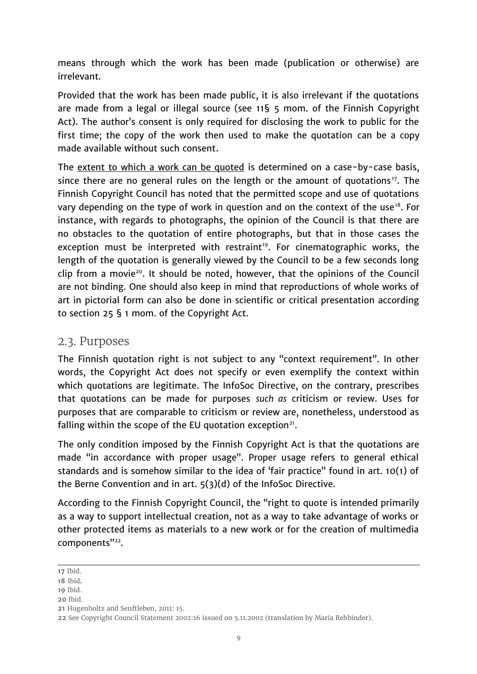means through which the work has been made (publication or otherwise) are irrelevant.

Provided that the work has been made public, it is also irrelevant if the quotations are made from a legal or illegal source (see 11§ 5 mom. of the Finnish Copyright Act). The author's consent is only required for disclosing the work to public for the first time; the copy of the work then used to make the quotation can be a copy made available without such consent.

The extent to which a work can be quoted is determined on a case-by-case basis, since there are no general rules on the length or the amount of quotations<sup>[17](#page-8-0)</sup>. The Finnish Copyright Council has noted that the permitted scope and use of quotations vary depending on the type of work in question and on the context of the use<sup>[18](#page-8-1)</sup>. For instance, with regards to photographs, the opinion of the Council is that there are no obstacles to the quotation of entire photographs, but that in those cases the exception must be interpreted with restraint<sup>[19](#page-8-2)</sup>. For cinematographic works, the length of the quotation is generally viewed by the Council to be a few seconds long clip from a movie<sup>[20](#page-8-3)</sup>. It should be noted, however, that the opinions of the Council are not binding. One should also keep in mind that reproductions of whole works of art in pictorial form can also be done in scientific or critical presentation according to section 25 § 1 mom. of the Copyright Act.

#### 2.3. Purposes

The Finnish quotation right is not subject to any "context requirement". In other words, the Copyright Act does not specify or even exemplify the context within which quotations are legitimate. The InfoSoc Directive, on the contrary, prescribes that quotations can be made for purposes *such as* criticism or review. Uses for purposes that are comparable to criticism or review are, nonetheless, understood as falling within the scope of the EU quotation exception $21$ .

The only condition imposed by the Finnish Copyright Act is that the quotations are made "in accordance with proper usage". Proper usage refers to general ethical standards and is somehow similar to the idea of 'fair practice" found in art. 10(1) of the Berne Convention and in art. 5(3)(d) of the InfoSoc Directive.

According to the Finnish Copyright Council, the "right to quote is intended primarily as a way to support intellectual creation, not as a way to take advantage of works or other protected items as materials to a new work or for the creation of multimedia components"<sup>[22](#page-8-5)</sup>.

<span id="page-8-3"></span>**20** Ibid.

<span id="page-8-0"></span>**<sup>17</sup>** Ibid.

<span id="page-8-1"></span>**<sup>18</sup>** Ibid.

<span id="page-8-2"></span>**<sup>19</sup>** Ibid.

<span id="page-8-4"></span>**<sup>21</sup>** Hugenholtz and Senftleben, 2011: 15.

<span id="page-8-5"></span>**<sup>22</sup>** See Copyright Council Statement 2002:16 issued on 5.11.2002 (translation by Maria Rehbinder).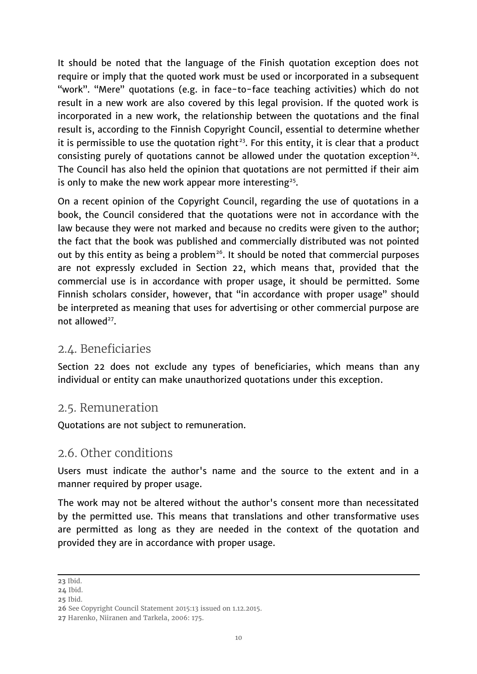It should be noted that the language of the Finish quotation exception does not require or imply that the quoted work must be used or incorporated in a subsequent "work". "Mere" quotations (e.g. in face-to-face teaching activities) which do not result in a new work are also covered by this legal provision. If the quoted work is incorporated in a new work, the relationship between the quotations and the final result is, according to the Finnish Copyright Council, essential to determine whether it is permissible to use the quotation right<sup>[23](#page-9-0)</sup>. For this entity, it is clear that a product consisting purely of quotations cannot be allowed under the quotation exception<sup>[24](#page-9-1)</sup>. The Council has also held the opinion that quotations are not permitted if their aim is only to make the new work appear more interesting<sup>[25](#page-9-2)</sup>.

On a recent opinion of the Copyright Council, regarding the use of quotations in a book, the Council considered that the quotations were not in accordance with the law because they were not marked and because no credits were given to the author; the fact that the book was published and commercially distributed was not pointed out by this entity as being a problem<sup>[26](#page-9-3)</sup>. It should be noted that commercial purposes are not expressly excluded in Section 22, which means that, provided that the commercial use is in accordance with proper usage, it should be permitted. Some Finnish scholars consider, however, that "in accordance with proper usage" should be interpreted as meaning that uses for advertising or other commercial purpose are not allowed<sup>[27](#page-9-4)</sup>.

#### 2.4. Beneficiaries

Section 22 does not exclude any types of beneficiaries, which means than any individual or entity can make unauthorized quotations under this exception.

#### 2.5. Remuneration

Quotations are not subject to remuneration.

#### 2.6. Other conditions

Users must indicate the author's name and the source to the extent and in a manner required by proper usage.

The work may not be altered without the author's consent more than necessitated by the permitted use. This means that translations and other transformative uses are permitted as long as they are needed in the context of the quotation and provided they are in accordance with proper usage.

<span id="page-9-2"></span>**25** Ibid.

<span id="page-9-0"></span>**<sup>23</sup>** Ibid.

<span id="page-9-1"></span>**<sup>24</sup>** Ibid.

<span id="page-9-3"></span>**<sup>26</sup>** See Copyright Council Statement 2015:13 issued on 1.12.2015.

<span id="page-9-4"></span>**<sup>27</sup>** Harenko, Niiranen and Tarkela, 2006: 175.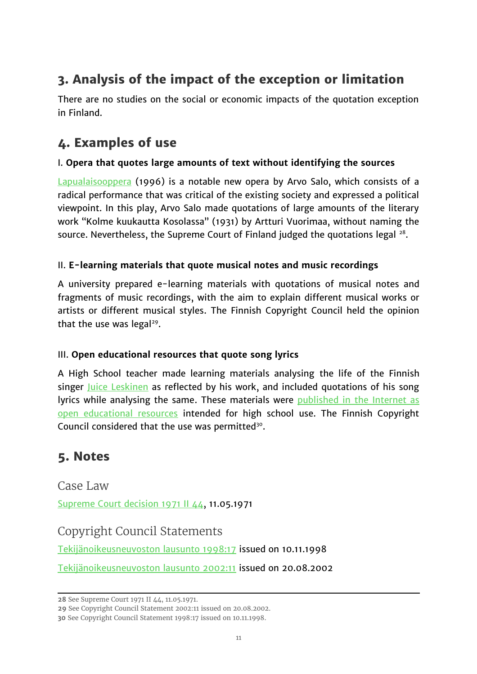# **3. Analysis of the impact of the exception or limitation**

There are no studies on the social or economic impacts of the quotation exception in Finland.

## **4. Examples of use**

#### I. **Opera that quotes large amounts of text without identifying the sources**

 [Lapualaisooppera](https://fi.wikipedia.org/wiki/Lapualaisooppera) (1996) is a notable new opera by Arvo Salo, which consists of a radical performance that was critical of the existing society and expressed a political viewpoint. In this play, Arvo Salo made quotations of large amounts of the literary work "Kolme kuukautta Kosolassa" (1931) by Artturi Vuorimaa, without naming the source. Nevertheless, the Supreme Court of Finland judged the quotations legal  $^{28}$  $^{28}$  $^{28}$ .

#### II. **E-learning materials that quote musical notes and music recordings**

A university prepared e-learning materials with quotations of musical notes and fragments of music recordings, with the aim to explain different musical works or artists or different musical styles. The Finnish Copyright Council held the opinion that the use was legal<sup>[29](#page-10-1)</sup>.

#### III. **Open educational resources that quote song lyrics**

A High School teacher made learning materials analysing the life of the Finnish singer [Juice Leskinen](https://en.wikipedia.org/wiki/Juice_Leskinen) as reflected by his work, and included quotations of his song lyrics while analysing the same. These materials were [published in the Internet as](http://materiaalit.internetix.fi/fi/opintojaksot/2uskonto/juice/sisalto) [open educational resources](http://materiaalit.internetix.fi/fi/opintojaksot/2uskonto/juice/sisalto) intended for high school use. The Finnish Copyright Council considered that the use was permitted $30$ .

## **5. Notes**

Case Law [Supreme Court decision 1971 II 44,](http://www.mlang.name/arkisto/KKO-1971-II-44.html) 11.05.1971

Copyright Council Statements

[Tekijänoikeusneuvoston lausunto 1998:17](http://www.minedu.fi/export/sites/default/OPM/Tekijaenoikeus/tekijaenoikeusneuvosto/tekijaenoikeusneuvoston_lausunnot/1998/liitteet/tn171998.pdf) issued on 10.11.1998

[Tekijänoikeusneuvoston lausunto 2002:11](http://www.minedu.fi/export/sites/default/OPM/Tekijaenoikeus/tekijaenoikeusneuvosto/tekijaenoikeusneuvoston_lausunnot/2002/liitteet/tn200211.pdf) issued on 20.08.2002

<span id="page-10-1"></span>**29** See Copyright Council Statement 2002:11 issued on 20.08.2002.

<span id="page-10-0"></span>**<sup>28</sup>** See Supreme Court 1971 II 44, 11.05.1971.

<span id="page-10-2"></span>**<sup>30</sup>** See Copyright Council Statement 1998:17 issued on 10.11.1998.